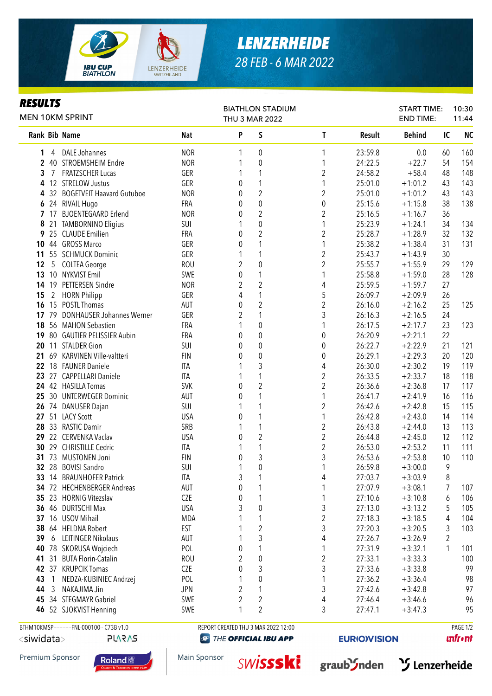

*RESULTS*

## *LENZERHEIDE 28 FEB - 6 MAR 2022*

BIATHLON STADIUM

## Rank Bib Name **Nat P S** T Result Behind IC NC 1 4 DALE Johannes 6 1 0 1 23:59.8 0.0 60 160 2 40 STROEMSHEIM Endre 1 0 1 24:22.5 +22.7 54 154 **3** 7 FRATZSCHER Lucas GER 1 1 1 2 24:58.2 +58.4 48 148 4 12 STRELOW Justus GER 0 1 1 25:01.0 +1:01.2 43 143 4 32 BOGETVEIT Haavard Gutuboe NOR 0 2 2 25:01.0 +1:01.2 43 143 6 24 RIVAIL Hugo FRA 0 0 0 25:15.6 +1:15.8 38 138 7 17 BJOENTEGAARD Erlend NOR 0 2 2 25:16.5 +1:16.7 36 1 8 21 TAMBORNINO Eligius 6 1 25:23.9 12.25.23.9 132<br>
1 25:23.9 1:24.1 34 134<br>
1 25:23.9 1:28.9 32 132 9 25 CLAUDE Emilien FRA 0 2 2 25:28.7 +1:28.9 32 132 10 44 GROSS Marco 6 65 GER 0 1 1 25:38.2 +1:38.4 31 131 11 55 SCHMUCK Dominic 6ER 1 1 2 25:43.7 +1:43.9 30 12 5 COLTEA George ROU 2 0 2 25:55.7 +1:55.9 29 129 13 10 NYKVIST Emil SWE 0 1 1 25:58.8 +1:59.0 28 128 14 19 PETTERSEN Sindre 10 10 NOR 2 2 2 4 25:59.5 + 1:59.7 27 15 2 HORN Philipp GER 4 1 5 26:09.7 +2:09.9 26 16 15 POSTL Thomas AUT 0 2 2 26:16.0 +2:16.2 25 125 17 79 DONHAUSER Johannes Werner GER 2 1 3 26:16.3 +2:16.5 24 **18** 56 MAHON Sebastien FRA 1 0 1 26:17.5 +2:17.7 23 123 19 80 GAUTIER PELISSIER Aubin FRA 0 0 0 26:20.9 +2:21.1 22 20 11 STALDER Gion 6 0 0 0 0 0 26:22.7 +2:22.9 21 121 21 69 KARVINEN Ville-valtteri FIN 0 0 0 26:29.1 +2:29.3 20 120 **22** 18 FAUNER Daniele **ITA** 1 3 4 26:30.0 +2:30.2 19 119 23 27 CAPPELLARI Daniele ITA 1 1 2 26:33.5 +2:33.7 18 118 **24** 42 HASILLA Tomas **SVK** 0 2 26:36.6 +2:36.8 17 117 25 30 UNTERWEGER Dominic  $\begin{array}{cccc} 25 & 30 & 1 \end{array}$  UNTERWEGER Dominic  $\begin{array}{cccc} 4 & 116 & 116 \end{array}$ 26 74 DANUSER Dajan SUI 1 1 2 26:42.6 +2:42.8 15 115 27 51 LACY Scott USA 0 1 1 26:42.8 +2:43.0 14 114 28 33 RASTIC Damir SRB 1 1 2 26:43.8 +2:44.0 13 113 29 22 CERVENKA Vaclav USA 0 2 2 26:44.8 +2:45.0 12 112 **30** 29 CHRISTILLE Cedric **ITA** 1 1 1 2 26:53.0 +2:53.2 11 111 **31** 73 MUSTONEN Joni **FIN 0 3** 3 26:53.6 +2:53.8 10 110 32 28 BOVISI Sandro SUI 1 0 1 26:59.8 +3:00.0 9 **33** 14 BRAUNHOFER Patrick **ITA** 3 1 4 27:03.7 +3:03.9 8 **34** 72 HECHENBERGER Andreas AUT 0 1 1 27:07.9 +3:08.1 7 107 35 23 HORNIG Vitezslav CZE 0 1 1 27:10.6 +3:10.8 6 106 36 46 DURTSCHI Max USA 3 0 3 27:13.0 +3:13.2 5 105 37 16 USOV Mihail 1 1 1 1 1 2 27:18.3 +3:18.5 4 104 **38** 64 HELDNA Robert **EST** 1 2 3 27:20.3 +3:20.5 3 103 **39** 6 LEITINGER Nikolaus **AUT** 1 3 4 27:26.7 +3:26.9 2 40 78 SKORUSA Wojciech POL 0 1 1 27:31.9 +3:32.1 1 101 **41** 31 BUTA Florin-Catalin **ROU** 2 0 27:33.1 +3:33.3 100 **42** 37 KRUPCIK Tomas **CZE** 0 3 3 27:33.6 +3:33.8 99 43 1 NEDZA-KUBINIEC Andrzej POL 1 0 1 27:36.2 +3:36.4 98 44 3 NAKAJIMA Jin JPN 2 1 3 27:42.6 +3:42.8 97 45 34 STEGMAYR Gabriel **SWE 2 2 2 4 27:46.4 +3:46.6** 96 46 52 SJOKVIST Henning SWE 1 2 3 27:47.1 +3:47.3 95 MEN 10KM SPRINT THU 3 MAR 2022 END TIME: 11:44 BTHM10KMSP------------FNL-000100-- C73B v1.0 REPORT CREATED THU 3 MAR 2022 12:00 PAGE 1/2

<siwidata>

PLARAS

**@ THE OFFICIAL IBU APP** 

**EURIO)VISION** 

**unfront** 











START TIME:

10:30